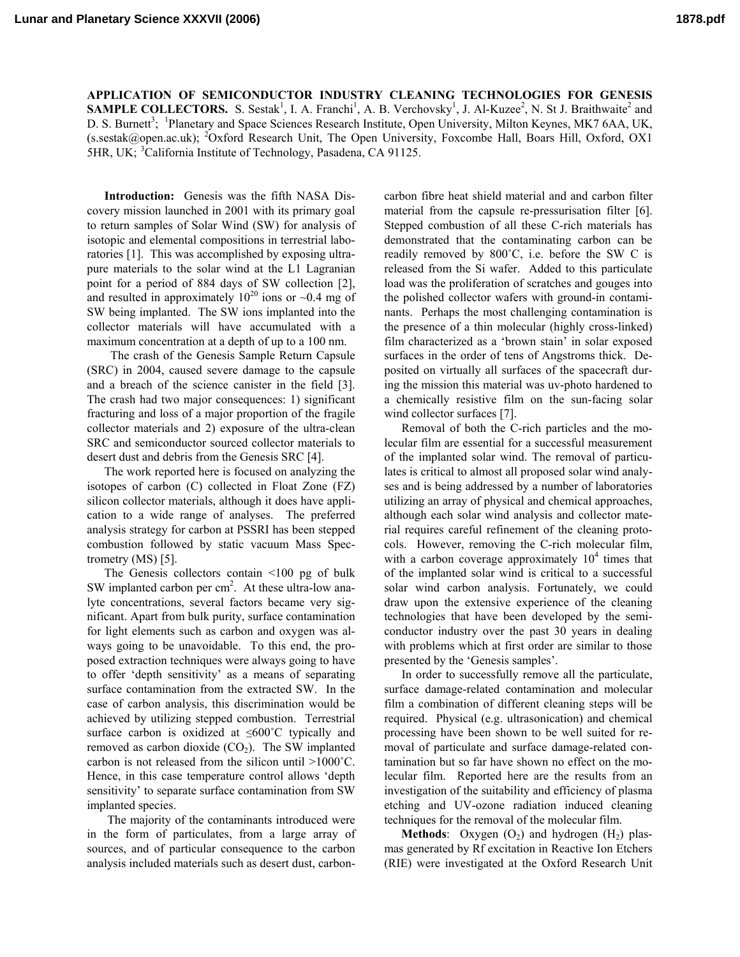**APPLICATION OF SEMICONDUCTOR INDUSTRY CLEANING TECHNOLOGIES FOR GENESIS SAMPLE COLLECTORS.** S. Sestak<sup>1</sup>, I. A. Franchi<sup>1</sup>, A. B. Verchovsky<sup>1</sup>, J. Al-Kuzee<sup>2</sup>, N. St J. Braithwaite<sup>2</sup> and D. S. Burnett<sup>3</sup>; <sup>1</sup>Planetary and Space Sciences Research Institute, Open University, Milton Keynes, MK7 6AA, UK, (s.sestak@open.ac.uk); <sup>2</sup>Oxford Research Unit, The Open University, Foxcombe Hall, Boars Hill, Oxford, OX1 5HR, UK; <sup>3</sup>California Institute of Technology, Pasadena, CA 91125.

**Introduction:** Genesis was the fifth NASA Discovery mission launched in 2001 with its primary goal to return samples of Solar Wind (SW) for analysis of isotopic and elemental compositions in terrestrial laboratories [1]. This was accomplished by exposing ultrapure materials to the solar wind at the L1 Lagranian point for a period of 884 days of SW collection [2], and resulted in approximately  $10^{20}$  ions or  $\sim 0.4$  mg of SW being implanted. The SW ions implanted into the collector materials will have accumulated with a maximum concentration at a depth of up to a 100 nm.

 The crash of the Genesis Sample Return Capsule (SRC) in 2004, caused severe damage to the capsule and a breach of the science canister in the field [3]. The crash had two major consequences: 1) significant fracturing and loss of a major proportion of the fragile collector materials and 2) exposure of the ultra-clean SRC and semiconductor sourced collector materials to desert dust and debris from the Genesis SRC [4].

The work reported here is focused on analyzing the isotopes of carbon (C) collected in Float Zone (FZ) silicon collector materials, although it does have application to a wide range of analyses. The preferred analysis strategy for carbon at PSSRI has been stepped combustion followed by static vacuum Mass Spectrometry (MS) [5].

The Genesis collectors contain <100 pg of bulk SW implanted carbon per  $\text{cm}^2$ . At these ultra-low analyte concentrations, several factors became very significant. Apart from bulk purity, surface contamination for light elements such as carbon and oxygen was always going to be unavoidable. To this end, the proposed extraction techniques were always going to have to offer 'depth sensitivity' as a means of separating surface contamination from the extracted SW. In the case of carbon analysis, this discrimination would be achieved by utilizing stepped combustion. Terrestrial surface carbon is oxidized at ≤600˚C typically and removed as carbon dioxide  $(CO<sub>2</sub>)$ . The SW implanted carbon is not released from the silicon until >1000˚C. Hence, in this case temperature control allows 'depth sensitivity' to separate surface contamination from SW implanted species.

 The majority of the contaminants introduced were in the form of particulates, from a large array of sources, and of particular consequence to the carbon analysis included materials such as desert dust, carboncarbon fibre heat shield material and and carbon filter material from the capsule re-pressurisation filter [6]. Stepped combustion of all these C-rich materials has demonstrated that the contaminating carbon can be readily removed by 800˚C, i.e. before the SW C is released from the Si wafer. Added to this particulate load was the proliferation of scratches and gouges into the polished collector wafers with ground-in contaminants. Perhaps the most challenging contamination is the presence of a thin molecular (highly cross-linked) film characterized as a 'brown stain' in solar exposed surfaces in the order of tens of Angstroms thick. Deposited on virtually all surfaces of the spacecraft during the mission this material was uv-photo hardened to a chemically resistive film on the sun-facing solar wind collector surfaces [7].

Removal of both the C-rich particles and the molecular film are essential for a successful measurement of the implanted solar wind. The removal of particulates is critical to almost all proposed solar wind analyses and is being addressed by a number of laboratories utilizing an array of physical and chemical approaches, although each solar wind analysis and collector material requires careful refinement of the cleaning protocols. However, removing the C-rich molecular film, with a carbon coverage approximately  $10<sup>4</sup>$  times that of the implanted solar wind is critical to a successful solar wind carbon analysis. Fortunately, we could draw upon the extensive experience of the cleaning technologies that have been developed by the semiconductor industry over the past 30 years in dealing with problems which at first order are similar to those presented by the 'Genesis samples'.

In order to successfully remove all the particulate, surface damage-related contamination and molecular film a combination of different cleaning steps will be required. Physical (e.g. ultrasonication) and chemical processing have been shown to be well suited for removal of particulate and surface damage-related contamination but so far have shown no effect on the molecular film. Reported here are the results from an investigation of the suitability and efficiency of plasma etching and UV-ozone radiation induced cleaning techniques for the removal of the molecular film.

**Methods**: Oxygen  $(O_2)$  and hydrogen  $(H_2)$  plasmas generated by Rf excitation in Reactive Ion Etchers (RIE) were investigated at the Oxford Research Unit